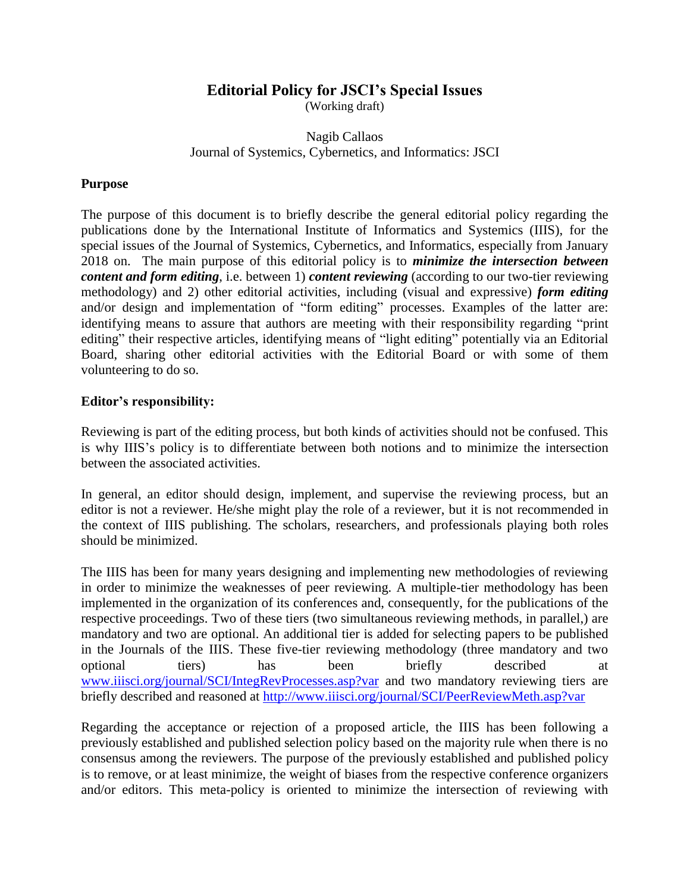# **Editorial Policy for JSCI's Special Issues**

(Working draft)

## Nagib Callaos Journal of Systemics, Cybernetics, and Informatics: JSCI

### **Purpose**

The purpose of this document is to briefly describe the general editorial policy regarding the publications done by the International Institute of Informatics and Systemics (IIIS), for the special issues of the Journal of Systemics, Cybernetics, and Informatics, especially from January 2018 on. The main purpose of this editorial policy is to *minimize the intersection between content and form editing*, i.e. between 1) *content reviewing* (according to our two-tier reviewing methodology) and 2) other editorial activities, including (visual and expressive) *form editing* and/or design and implementation of "form editing" processes. Examples of the latter are: identifying means to assure that authors are meeting with their responsibility regarding "print editing" their respective articles, identifying means of "light editing" potentially via an Editorial Board, sharing other editorial activities with the Editorial Board or with some of them volunteering to do so.

#### **Editor's responsibility:**

Reviewing is part of the editing process, but both kinds of activities should not be confused. This is why IIIS's policy is to differentiate between both notions and to minimize the intersection between the associated activities.

In general, an editor should design, implement, and supervise the reviewing process, but an editor is not a reviewer. He/she might play the role of a reviewer, but it is not recommended in the context of IIIS publishing. The scholars, researchers, and professionals playing both roles should be minimized.

The IIIS has been for many years designing and implementing new methodologies of reviewing in order to minimize the weaknesses of peer reviewing. A multiple-tier methodology has been implemented in the organization of its conferences and, consequently, for the publications of the respective proceedings. Two of these tiers (two simultaneous reviewing methods, in parallel,) are mandatory and two are optional. An additional tier is added for selecting papers to be published in the Journals of the IIIS. These five-tier reviewing methodology (three mandatory and two optional tiers) has been briefly described at [www.iiisci.org/journal/SCI/IntegRevProcesses.asp?var](http://www.iiisci.org/journal/SCI/IntegRevProcesses.asp?var) and two mandatory reviewing tiers are briefly described and reasoned at<http://www.iiisci.org/journal/SCI/PeerReviewMeth.asp?var>

Regarding the acceptance or rejection of a proposed article, the IIIS has been following a previously established and published selection policy based on the majority rule when there is no consensus among the reviewers. The purpose of the previously established and published policy is to remove, or at least minimize, the weight of biases from the respective conference organizers and/or editors. This meta-policy is oriented to minimize the intersection of reviewing with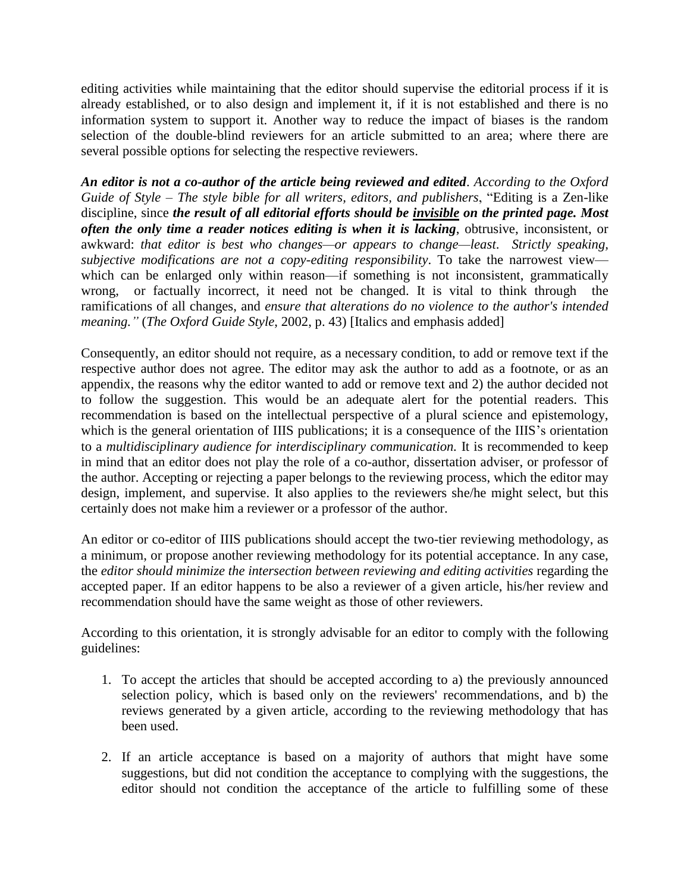editing activities while maintaining that the editor should supervise the editorial process if it is already established, or to also design and implement it, if it is not established and there is no information system to support it. Another way to reduce the impact of biases is the random selection of the double-blind reviewers for an article submitted to an area; where there are several possible options for selecting the respective reviewers.

*An editor is not a co-author of the article being reviewed and edited*. *According to the Oxford Guide of Style – The style bible for all writers, editors, and publishers*, "Editing is a Zen-like discipline, since *the result of all editorial efforts should be invisible on the printed page. Most often the only time a reader notices editing is when it is lacking*, obtrusive, inconsistent, or awkward: *that editor is best who changes—or appears to change—least*. *Strictly speaking, subjective modifications are not a copy-editing responsibility*. To take the narrowest view which can be enlarged only within reason—if something is not inconsistent, grammatically wrong, or factually incorrect, it need not be changed. It is vital to think through the ramifications of all changes, and *ensure that alterations do no violence to the author's intended meaning."* (*The Oxford Guide Style*, 2002, p. 43) [Italics and emphasis added]

Consequently, an editor should not require, as a necessary condition, to add or remove text if the respective author does not agree. The editor may ask the author to add as a footnote, or as an appendix, the reasons why the editor wanted to add or remove text and 2) the author decided not to follow the suggestion. This would be an adequate alert for the potential readers. This recommendation is based on the intellectual perspective of a plural science and epistemology, which is the general orientation of IIIS publications; it is a consequence of the IIIS's orientation to a *multidisciplinary audience for interdisciplinary communication.* It is recommended to keep in mind that an editor does not play the role of a co-author, dissertation adviser, or professor of the author. Accepting or rejecting a paper belongs to the reviewing process, which the editor may design, implement, and supervise. It also applies to the reviewers she/he might select, but this certainly does not make him a reviewer or a professor of the author.

An editor or co-editor of IIIS publications should accept the two-tier reviewing methodology, as a minimum, or propose another reviewing methodology for its potential acceptance. In any case, the *editor should minimize the intersection between reviewing and editing activities* regarding the accepted paper. If an editor happens to be also a reviewer of a given article, his/her review and recommendation should have the same weight as those of other reviewers.

According to this orientation, it is strongly advisable for an editor to comply with the following guidelines:

- 1. To accept the articles that should be accepted according to a) the previously announced selection policy, which is based only on the reviewers' recommendations, and b) the reviews generated by a given article, according to the reviewing methodology that has been used.
- 2. If an article acceptance is based on a majority of authors that might have some suggestions, but did not condition the acceptance to complying with the suggestions, the editor should not condition the acceptance of the article to fulfilling some of these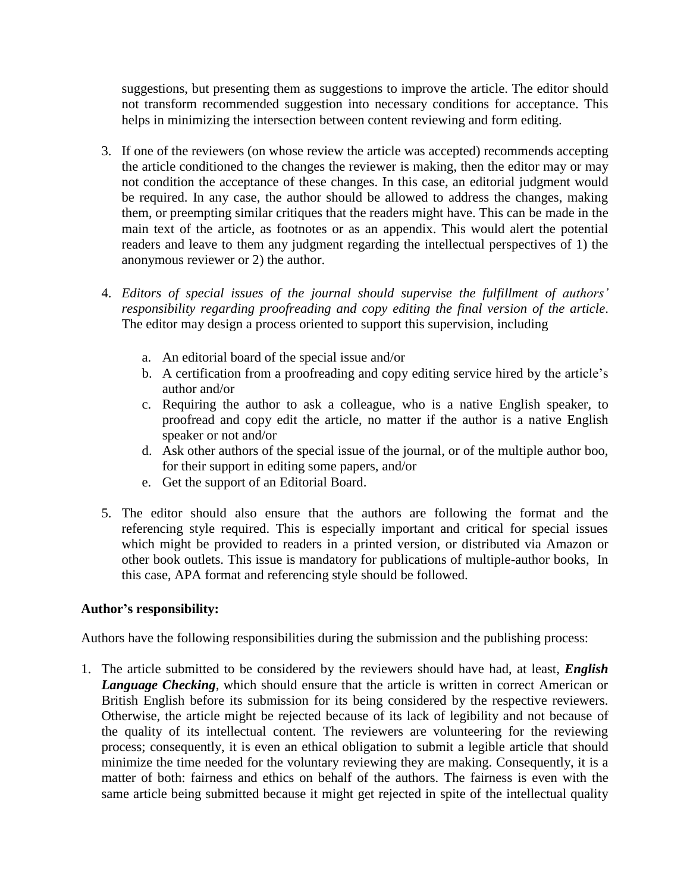suggestions, but presenting them as suggestions to improve the article. The editor should not transform recommended suggestion into necessary conditions for acceptance. This helps in minimizing the intersection between content reviewing and form editing.

- 3. If one of the reviewers (on whose review the article was accepted) recommends accepting the article conditioned to the changes the reviewer is making, then the editor may or may not condition the acceptance of these changes. In this case, an editorial judgment would be required. In any case, the author should be allowed to address the changes, making them, or preempting similar critiques that the readers might have. This can be made in the main text of the article, as footnotes or as an appendix. This would alert the potential readers and leave to them any judgment regarding the intellectual perspectives of 1) the anonymous reviewer or 2) the author.
- 4. *Editors of special issues of the journal should supervise the fulfillment of authors' responsibility regarding proofreading and copy editing the final version of the article*. The editor may design a process oriented to support this supervision, including
	- a. An editorial board of the special issue and/or
	- b. A certification from a proofreading and copy editing service hired by the article's author and/or
	- c. Requiring the author to ask a colleague, who is a native English speaker, to proofread and copy edit the article, no matter if the author is a native English speaker or not and/or
	- d. Ask other authors of the special issue of the journal, or of the multiple author boo, for their support in editing some papers, and/or
	- e. Get the support of an Editorial Board.
- 5. The editor should also ensure that the authors are following the format and the referencing style required. This is especially important and critical for special issues which might be provided to readers in a printed version, or distributed via Amazon or other book outlets. This issue is mandatory for publications of multiple-author books, In this case, APA format and referencing style should be followed.

#### **Author's responsibility:**

Authors have the following responsibilities during the submission and the publishing process:

1. The article submitted to be considered by the reviewers should have had, at least, *English*  **Language Checking**, which should ensure that the article is written in correct American or British English before its submission for its being considered by the respective reviewers. Otherwise, the article might be rejected because of its lack of legibility and not because of the quality of its intellectual content. The reviewers are volunteering for the reviewing process; consequently, it is even an ethical obligation to submit a legible article that should minimize the time needed for the voluntary reviewing they are making. Consequently, it is a matter of both: fairness and ethics on behalf of the authors. The fairness is even with the same article being submitted because it might get rejected in spite of the intellectual quality